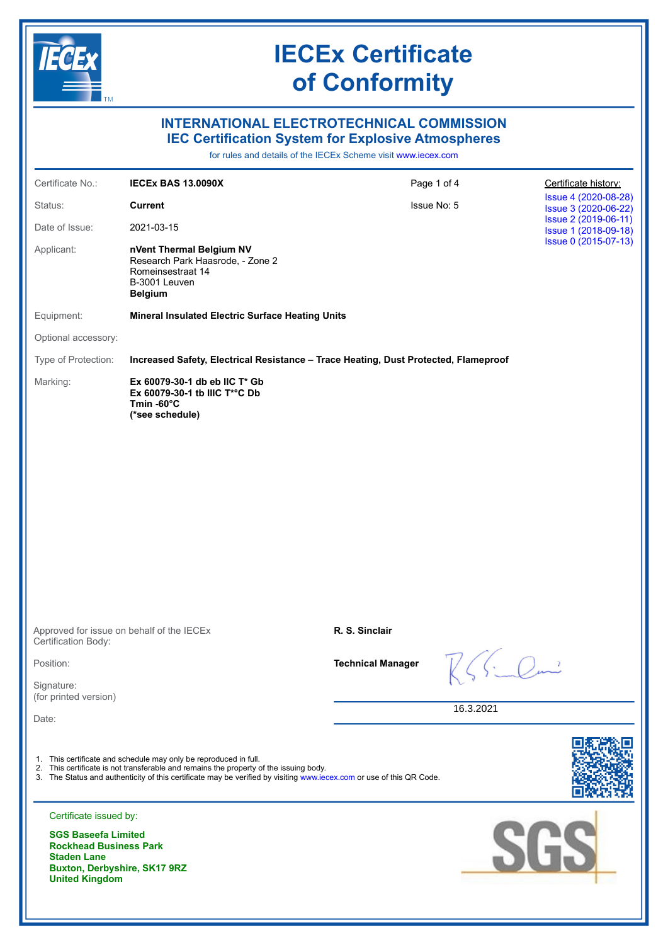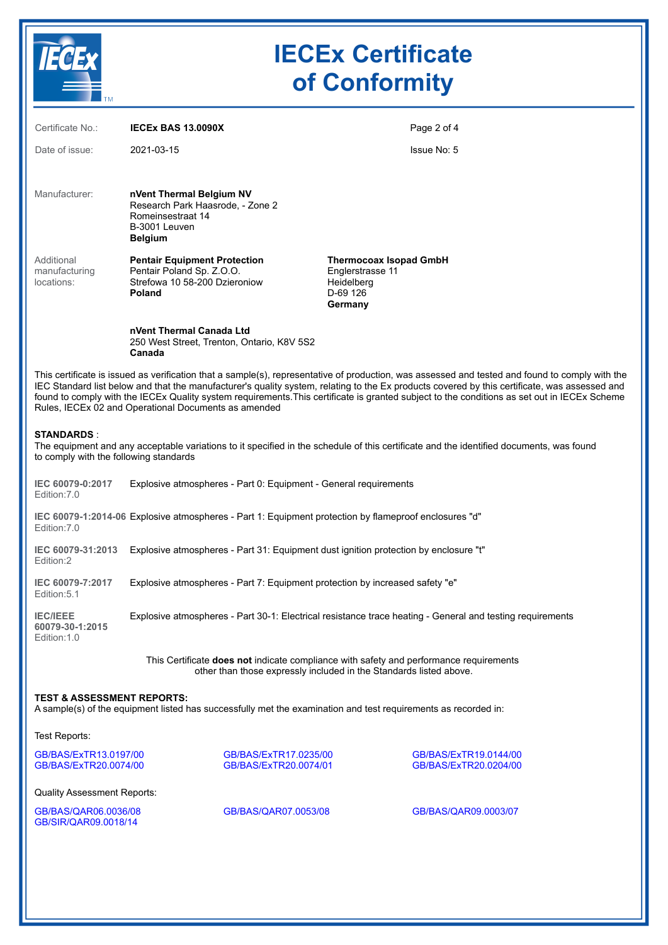

# **IECEx Certificate of Conformity**

| Certificate No.:                                                                                                                                                                                                                                                                                                                                                                                                                                                                                         | <b>IECEX BAS 13.0090X</b>                                                                                            | Page 2 of 4                                                                                                                             |  |  |  |  |
|----------------------------------------------------------------------------------------------------------------------------------------------------------------------------------------------------------------------------------------------------------------------------------------------------------------------------------------------------------------------------------------------------------------------------------------------------------------------------------------------------------|----------------------------------------------------------------------------------------------------------------------|-----------------------------------------------------------------------------------------------------------------------------------------|--|--|--|--|
| Date of issue:                                                                                                                                                                                                                                                                                                                                                                                                                                                                                           | 2021-03-15                                                                                                           | Issue No: 5                                                                                                                             |  |  |  |  |
| Manufacturer:                                                                                                                                                                                                                                                                                                                                                                                                                                                                                            | nVent Thermal Belgium NV<br>Research Park Haasrode, - Zone 2<br>Romeinsestraat 14<br>B-3001 Leuven<br><b>Belgium</b> |                                                                                                                                         |  |  |  |  |
| Additional<br>manufacturing<br>locations:                                                                                                                                                                                                                                                                                                                                                                                                                                                                | <b>Pentair Equipment Protection</b><br>Pentair Poland Sp. Z.O.O.<br>Strefowa 10 58-200 Dzieroniow<br>Poland          | <b>Thermocoax Isopad GmbH</b><br>Englerstrasse 11<br>Heidelberg<br>D-69 126<br>Germany                                                  |  |  |  |  |
|                                                                                                                                                                                                                                                                                                                                                                                                                                                                                                          | nVent Thermal Canada Ltd<br>250 West Street, Trenton, Ontario, K8V 5S2<br>Canada                                     |                                                                                                                                         |  |  |  |  |
| This certificate is issued as verification that a sample(s), representative of production, was assessed and tested and found to comply with the<br>IEC Standard list below and that the manufacturer's quality system, relating to the Ex products covered by this certificate, was assessed and<br>found to comply with the IECEx Quality system requirements. This certificate is granted subject to the conditions as set out in IECEx Scheme<br>Rules, IECEx 02 and Operational Documents as amended |                                                                                                                      |                                                                                                                                         |  |  |  |  |
| <b>STANDARDS:</b><br>to comply with the following standards                                                                                                                                                                                                                                                                                                                                                                                                                                              |                                                                                                                      | The equipment and any acceptable variations to it specified in the schedule of this certificate and the identified documents, was found |  |  |  |  |
| IEC 60079-0:2017<br>Edition: 7.0                                                                                                                                                                                                                                                                                                                                                                                                                                                                         | Explosive atmospheres - Part 0: Equipment - General requirements                                                     |                                                                                                                                         |  |  |  |  |
| IEC 60079-1:2014-06 Explosive atmospheres - Part 1: Equipment protection by flameproof enclosures "d"<br>Edition: 7.0                                                                                                                                                                                                                                                                                                                                                                                    |                                                                                                                      |                                                                                                                                         |  |  |  |  |
| IEC 60079-31:2013<br>Edition:2                                                                                                                                                                                                                                                                                                                                                                                                                                                                           | Explosive atmospheres - Part 31: Equipment dust ignition protection by enclosure "t"                                 |                                                                                                                                         |  |  |  |  |
| IEC 60079-7:2017<br>Edition: 5.1                                                                                                                                                                                                                                                                                                                                                                                                                                                                         | Explosive atmospheres - Part 7: Equipment protection by increased safety "e"                                         |                                                                                                                                         |  |  |  |  |
| <b>IEC/IEEE</b><br>60079-30-1:2015<br>Edition: 1.0                                                                                                                                                                                                                                                                                                                                                                                                                                                       | Explosive atmospheres - Part 30-1: Electrical resistance trace heating - General and testing requirements            |                                                                                                                                         |  |  |  |  |
| This Certificate does not indicate compliance with safety and performance requirements<br>other than those expressly included in the Standards listed above.                                                                                                                                                                                                                                                                                                                                             |                                                                                                                      |                                                                                                                                         |  |  |  |  |
| <b>TEST &amp; ASSESSMENT REPORTS:</b><br>A sample(s) of the equipment listed has successfully met the examination and test requirements as recorded in:                                                                                                                                                                                                                                                                                                                                                  |                                                                                                                      |                                                                                                                                         |  |  |  |  |

Test Reports:

[GB/BAS/ExTR13.0197/00](https://www.iecex-certs.com/deliverables/REPORT/18592/view) [GB/BAS/ExTR17.0235/00](https://www.iecex-certs.com/deliverables/REPORT/20010/view) [GB/BAS/ExTR19.0144/00](https://www.iecex-certs.com/deliverables/REPORT/21243/view) [GB/BAS/ExTR20.0074/00](https://www.iecex-certs.com/deliverables/REPORT/65116/view) [GB/BAS/ExTR20.0074/01](https://www.iecex-certs.com/deliverables/REPORT/67663/view) [GB/BAS/ExTR20.0204/00](https://www.iecex-certs.com/deliverables/REPORT/70196/view)

Quality Assessment Reports:

[GB/BAS/QAR06.0036/08](https://www.iecex-certs.com/deliverables/REPORT/46387/view) [GB/BAS/QAR07.0053/08](https://www.iecex-certs.com/deliverables/REPORT/64124/view) [GB/BAS/QAR09.0003/07](https://www.iecex-certs.com/deliverables/REPORT/67746/view) [GB/SIR/QAR09.0018/14](https://www.iecex-certs.com/deliverables/REPORT/71103/view)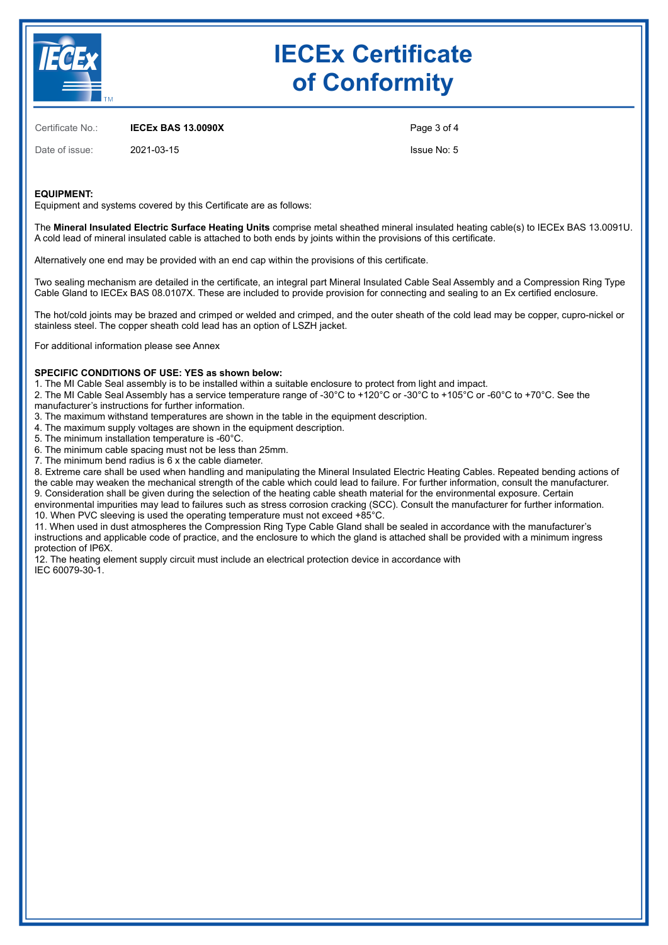

# **IECEx Certificate of Conformity**

Certificate No.: **IECEx BAS 13.0090X**

Date of issue: 2021-03-15

Page 3 of 4

Issue No: 5

### **EQUIPMENT:**

Equipment and systems covered by this Certificate are as follows:

The **Mineral Insulated Electric Surface Heating Units** comprise metal sheathed mineral insulated heating cable(s) to IECEx BAS 13.0091U. A cold lead of mineral insulated cable is attached to both ends by joints within the provisions of this certificate.

Alternatively one end may be provided with an end cap within the provisions of this certificate.

Two sealing mechanism are detailed in the certificate, an integral part Mineral Insulated Cable Seal Assembly and a Compression Ring Type Cable Gland to IECEx BAS 08.0107X. These are included to provide provision for connecting and sealing to an Ex certified enclosure.

The hot/cold joints may be brazed and crimped or welded and crimped, and the outer sheath of the cold lead may be copper, cupro-nickel or stainless steel. The copper sheath cold lead has an option of LSZH jacket.

For additional information please see Annex

#### **SPECIFIC CONDITIONS OF USE: YES as shown below:**

1. The MI Cable Seal assembly is to be installed within a suitable enclosure to protect from light and impact.

2. The MI Cable Seal Assembly has a service temperature range of -30°C to +120°C or -30°C to +105°C or -60°C to +70°C. See the manufacturer's instructions for further information.

- 3. The maximum withstand temperatures are shown in the table in the equipment description.
- 4. The maximum supply voltages are shown in the equipment description.
- 5. The minimum installation temperature is -60°C.
- 6. The minimum cable spacing must not be less than 25mm.
- 7. The minimum bend radius is 6 x the cable diameter.

8. Extreme care shall be used when handling and manipulating the Mineral Insulated Electric Heating Cables. Repeated bending actions of the cable may weaken the mechanical strength of the cable which could lead to failure. For further information, consult the manufacturer. 9. Consideration shall be given during the selection of the heating cable sheath material for the environmental exposure. Certain

environmental impurities may lead to failures such as stress corrosion cracking (SCC). Consult the manufacturer for further information. 10. When PVC sleeving is used the operating temperature must not exceed +85°C.

11. When used in dust atmospheres the Compression Ring Type Cable Gland shall be sealed in accordance with the manufacturer's instructions and applicable code of practice, and the enclosure to which the gland is attached shall be provided with a minimum ingress protection of IP6X.

12. The heating element supply circuit must include an electrical protection device in accordance with IEC 60079-30-1.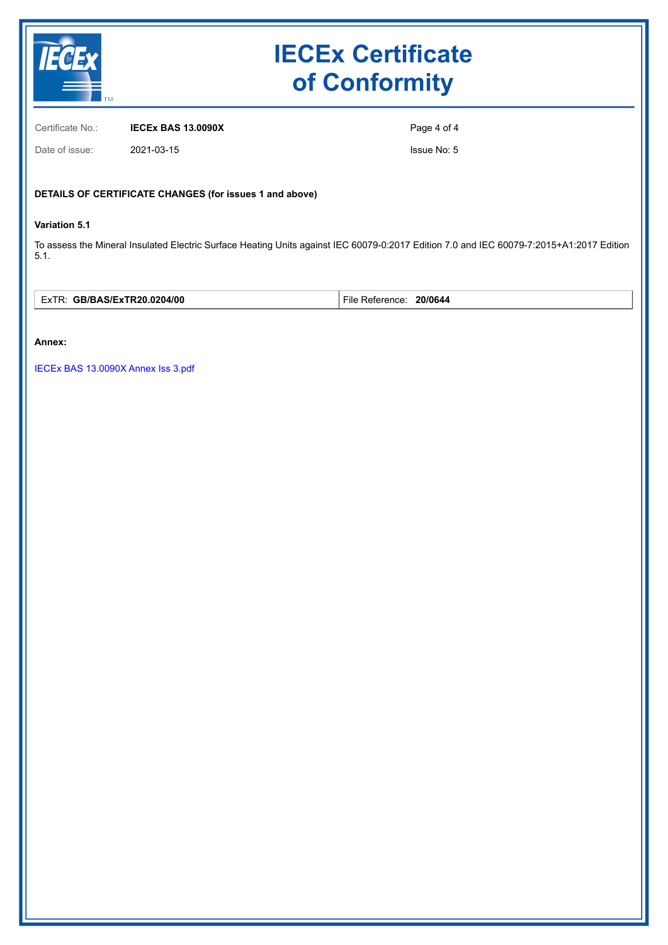

# **IECEx Certificate of Conformity**

Certificate No.: **IECEx BAS 13.0090X**

Date of issue: 2021-03-15

Page 4 of 4

Issue No: 5

## **DETAILS OF CERTIFICATE CHANGES (for issues 1 and above)**

### **Variation 5.1**

To assess the Mineral Insulated Electric Surface Heating Units against IEC 60079-0:2017 Edition 7.0 and IEC 60079-7:2015+A1:2017 Edition 5.1.

| 0204/00<br>$\overline{\phantom{0}}$<br>:JTD90<br>-w⊺<br><u>"¬ г</u><br>. .<br>. .<br>∟∧⊥<br>__ | $-\cdot$<br>20/0644<br>−ile<br>enc.<br>. |
|------------------------------------------------------------------------------------------------|------------------------------------------|
|------------------------------------------------------------------------------------------------|------------------------------------------|

#### **Annex:**

[IECEx BAS 13.0090X Annex Iss 3.pdf](https://www.iecex-certs.com/deliverables/CERT/53048/view)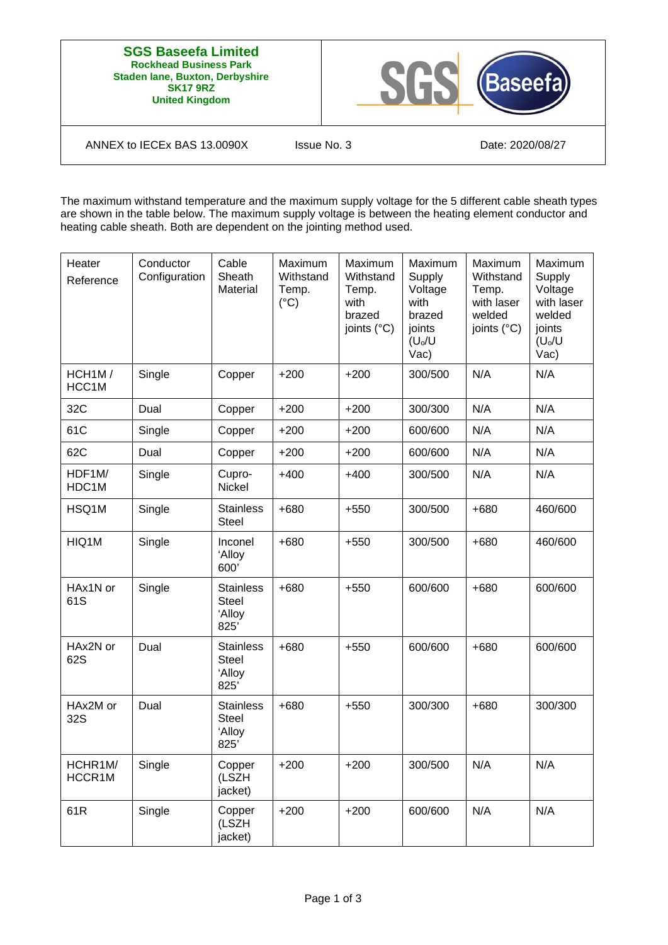#### **SGS Baseefa Limited Rockhead Business Park Staden lane, Buxton, Derbyshire SK17 9RZ United Kingdom**



ANNEX to IECEx BAS 13.0090X Issue No. 3 Date: 2020/08/27

The maximum withstand temperature and the maximum supply voltage for the 5 different cable sheath types are shown in the table below. The maximum supply voltage is between the heating element conductor and heating cable sheath. Both are dependent on the jointing method used.

| Heater<br>Reference          | Conductor<br>Configuration | Cable<br>Sheath<br>Material                        | Maximum<br>Withstand<br>Temp.<br>$(^{\circ}C)$ | Maximum<br>Withstand<br>Temp.<br>with<br>brazed<br>joints (°C) | Maximum<br>Supply<br>Voltage<br>with<br>brazed<br>joints<br>$(U_0/U)$<br>$\text{Vac)}$ | Maximum<br>Withstand<br>Temp.<br>with laser<br>welded<br>joints (°C) | Maximum<br>Supply<br>Voltage<br>with laser<br>welded<br>joints<br>$(U_0/U)$<br>Vac) |
|------------------------------|----------------------------|----------------------------------------------------|------------------------------------------------|----------------------------------------------------------------|----------------------------------------------------------------------------------------|----------------------------------------------------------------------|-------------------------------------------------------------------------------------|
| HCH <sub>1</sub> M/<br>HCC1M | Single                     | Copper                                             | $+200$                                         | $+200$                                                         | 300/500                                                                                | N/A                                                                  | N/A                                                                                 |
| 32C                          | Dual                       | Copper                                             | $+200$                                         | $+200$                                                         | 300/300                                                                                | N/A                                                                  | N/A                                                                                 |
| 61C                          | Single                     | Copper                                             | $+200$                                         | $+200$                                                         | 600/600                                                                                | N/A                                                                  | N/A                                                                                 |
| 62C                          | Dual                       | Copper                                             | $+200$                                         | $+200$                                                         | 600/600                                                                                | N/A                                                                  | N/A                                                                                 |
| HDF1M/<br>HDC1M              | Single                     | Cupro-<br>Nickel                                   | $+400$                                         | $+400$                                                         | 300/500                                                                                | N/A                                                                  | N/A                                                                                 |
| HSQ1M                        | Single                     | <b>Stainless</b><br><b>Steel</b>                   | $+680$                                         | $+550$                                                         | 300/500                                                                                | $+680$                                                               | 460/600                                                                             |
| HIQ1M                        | Single                     | Inconel<br>'Alloy<br>600'                          | $+680$                                         | $+550$                                                         | 300/500                                                                                | $+680$                                                               | 460/600                                                                             |
| HAx1N or<br>61S              | Single                     | <b>Stainless</b><br><b>Steel</b><br>'Alloy<br>825' | $+680$                                         | $+550$                                                         | 600/600                                                                                | $+680$                                                               | 600/600                                                                             |
| HAx2N or<br>62S              | Dual                       | <b>Stainless</b><br><b>Steel</b><br>'Alloy<br>825' | $+680$                                         | $+550$                                                         | 600/600                                                                                | $+680$                                                               | 600/600                                                                             |
| HAx2M or<br>32S              | Dual                       | <b>Stainless</b><br><b>Steel</b><br>'Alloy<br>825' | $+680$                                         | $+550$                                                         | 300/300                                                                                | $+680$                                                               | 300/300                                                                             |
| HCHR1M/<br>HCCR1M            | Single                     | Copper<br>(LSZH<br>jacket)                         | $+200$                                         | $+200$                                                         | 300/500                                                                                | N/A                                                                  | N/A                                                                                 |
| 61R                          | Single                     | Copper<br>(LSZH<br>jacket)                         | $+200$                                         | $+200$                                                         | 600/600                                                                                | N/A                                                                  | N/A                                                                                 |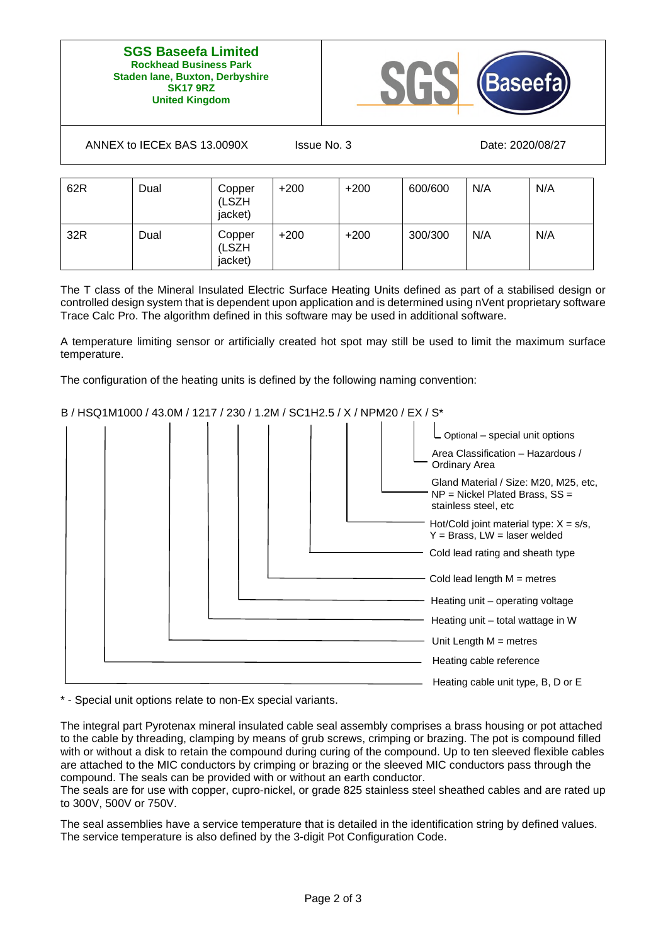#### **SGS Baseefa Limited Rockhead Business Park Staden lane, Buxton, Derbyshire SK17 9RZ United Kingdom**



ANNEX to IECEx BAS 13.0090X Issue No. 3 Date: 2020/08/27

| 62R | Dual | Copper<br>(LSZH<br>jacket) | $+200$ | $+200$ | 600/600 | N/A | N/A |
|-----|------|----------------------------|--------|--------|---------|-----|-----|
| 32R | Dual | Copper<br>(LSZH<br>jacket) | $+200$ | $+200$ | 300/300 | N/A | N/A |

The T class of the Mineral Insulated Electric Surface Heating Units defined as part of a stabilised design or controlled design system that is dependent upon application and is determined using nVent proprietary software Trace Calc Pro. The algorithm defined in this software may be used in additional software.

A temperature limiting sensor or artificially created hot spot may still be used to limit the maximum surface temperature.

The configuration of the heating units is defined by the following naming convention:

## B / HSQ1M1000 / 43.0M / 1217 / 230 / 1.2M / SC1H2.5 / X / NPM20 / EX / S\*



\* - Special unit options relate to non-Ex special variants.

The integral part Pyrotenax mineral insulated cable seal assembly comprises a brass housing or pot attached to the cable by threading, clamping by means of grub screws, crimping or brazing. The pot is compound filled with or without a disk to retain the compound during curing of the compound. Up to ten sleeved flexible cables are attached to the MIC conductors by crimping or brazing or the sleeved MIC conductors pass through the compound. The seals can be provided with or without an earth conductor.

The seals are for use with copper, cupro-nickel, or grade 825 stainless steel sheathed cables and are rated up to 300V, 500V or 750V.

The seal assemblies have a service temperature that is detailed in the identification string by defined values. The service temperature is also defined by the 3-digit Pot Configuration Code.